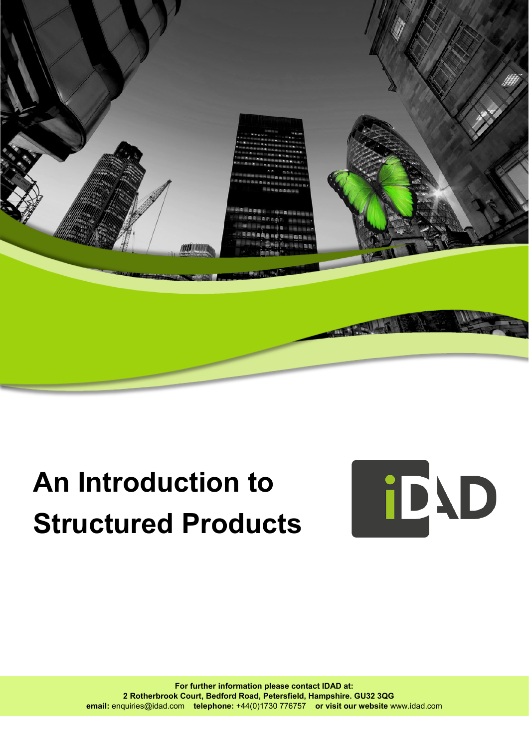

# **An Introduction to Structured Products**

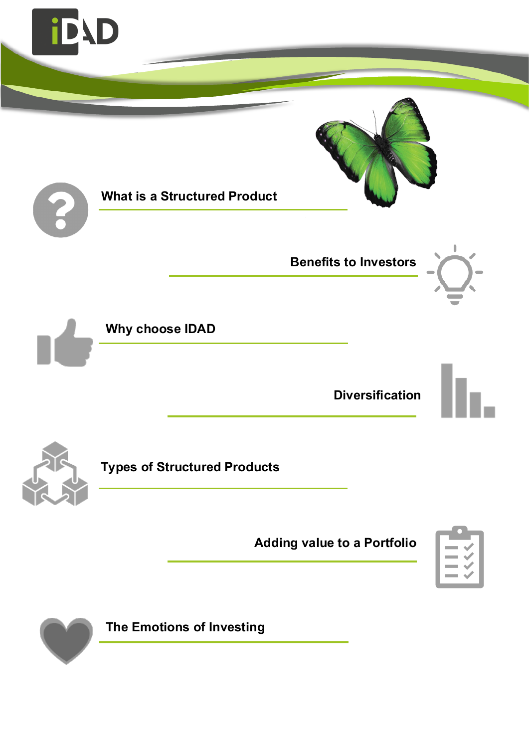



**The Emotions of Investing**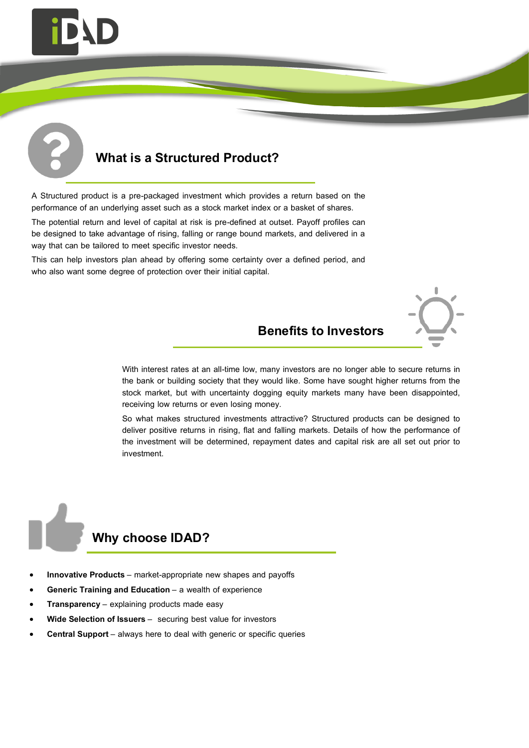



A Structured product is a pre-packaged investment which provides a return based on the performance of an underlying asset such as a stock market index or a basket of shares.

The potential return and level of capital at risk is pre-defined at outset. Payoff profiles can be designed to take advantage of rising, falling or range bound markets, and delivered in a way that can be tailored to meet specific investor needs.

This can help investors plan ahead by offering some certainty over a defined period, and who also want some degree of protection over their initial capital.

With interest rates at an all-time low, many investors are no longer able to secure returns in the bank or building society that they would like. Some have sought higher returns from the stock market, but with uncertainty dogging equity markets many have been disappointed, receiving low returns or even losing money.

**Benefits to Investors**

So what makes structured investments attractive? Structured products can be designed to deliver positive returns in rising, flat and falling markets. Details of how the performance of the investment will be determined, repayment dates and capital risk are all set out prior to investment.

# **Why choose IDAD?**

- **Innovative Products**  market-appropriate new shapes and payoffs
- **Generic Training and Education** a wealth of experience
- **Transparency** explaining products made easy
- **Wide Selection of Issuers**  securing best value for investors
- **Central Support**  always here to deal with generic or specific queries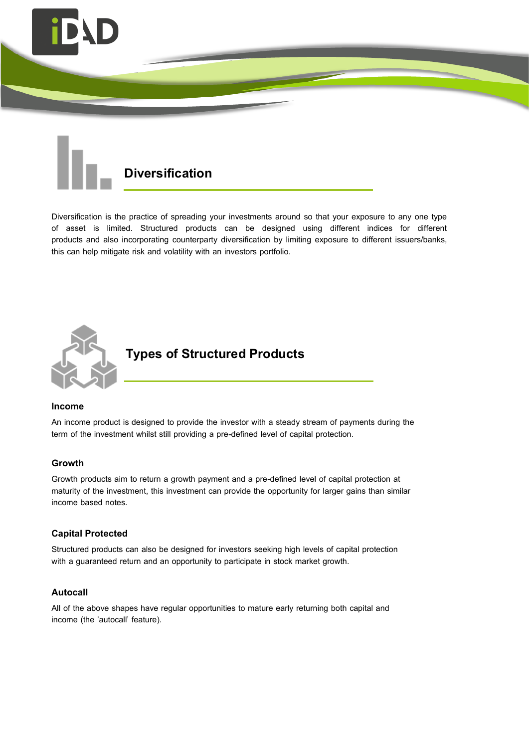

# **Diversification**

Diversification is the practice of spreading your investments around so that your exposure to any one type of asset is limited. Structured products can be designed using different indices for different products and also incorporating counterparty diversification by limiting exposure to different issuers/banks, this can help mitigate risk and volatility with an investors portfolio.



**Types of Structured Products**

#### **Income**

An income product is designed to provide the investor with a steady stream of payments during the term of the investment whilst still providing a pre-defined level of capital protection.

#### **Growth**

Growth products aim to return a growth payment and a pre-defined level of capital protection at maturity of the investment, this investment can provide the opportunity for larger gains than similar income based notes.

#### **Capital Protected**

Structured products can also be designed for investors seeking high levels of capital protection with a guaranteed return and an opportunity to participate in stock market growth.

### **Autocall**

All of the above shapes have regular opportunities to mature early returning both capital and income (the 'autocall' feature).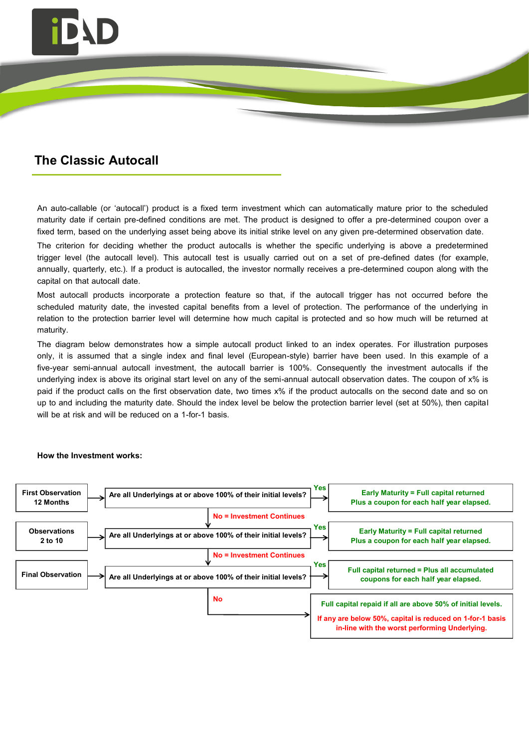

# **The Classic Autocall**

An auto-callable (or 'autocall') product is a fixed term investment which can automatically mature prior to the scheduled maturity date if certain pre-defined conditions are met. The product is designed to offer a pre-determined coupon over a fixed term, based on the underlying asset being above its initial strike level on any given pre-determined observation date.

The criterion for deciding whether the product autocalls is whether the specific underlying is above a predetermined trigger level (the autocall level). This autocall test is usually carried out on a set of pre-defined dates (for example, annually, quarterly, etc.). If a product is autocalled, the investor normally receives a pre-determined coupon along with the capital on that autocall date.

Most autocall products incorporate a protection feature so that, if the autocall trigger has not occurred before the scheduled maturity date, the invested capital benefits from a level of protection. The performance of the underlying in relation to the protection barrier level will determine how much capital is protected and so how much will be returned at maturity.

The diagram below demonstrates how a simple autocall product linked to an index operates. For illustration purposes only, it is assumed that a single index and final level (European-style) barrier have been used. In this example of a five-year semi-annual autocall investment, the autocall barrier is 100%. Consequently the investment autocalls if the underlying index is above its original start level on any of the semi-annual autocall observation dates. The coupon of x% is paid if the product calls on the first observation date, two times x% if the product autocalls on the second date and so on up to and including the maturity date. Should the index level be below the protection barrier level (set at 50%), then capital will be at risk and will be reduced on a 1-for-1 basis.

#### **How the Investment works:**

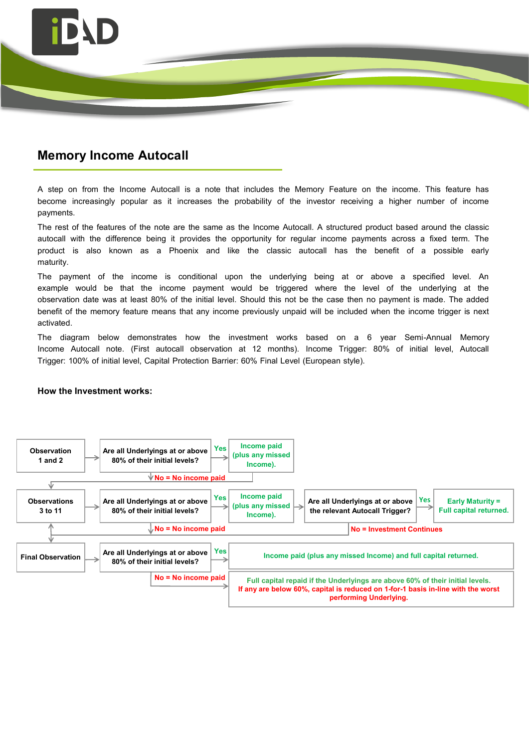

## **Memory Income Autocall**

A step on from the Income Autocall is a note that includes the Memory Feature on the income. This feature has become increasingly popular as it increases the probability of the investor receiving a higher number of income payments.

The rest of the features of the note are the same as the Income Autocall. A structured product based around the classic autocall with the difference being it provides the opportunity for regular income payments across a fixed term. The product is also known as a Phoenix and like the classic autocall has the benefit of a possible early maturity.

The payment of the income is conditional upon the underlying being at or above a specified level. An example would be that the income payment would be triggered where the level of the underlying at the observation date was at least 80% of the initial level. Should this not be the case then no payment is made. The added benefit of the memory feature means that any income previously unpaid will be included when the income trigger is next activated.

The diagram below demonstrates how the investment works based on a 6 year Semi-Annual Memory Income Autocall note. (First autocall observation at 12 months). Income Trigger: 80% of initial level. Autocall Trigger: 100% of initial level, Capital Protection Barrier: 60% Final Level (European style).

#### **How the Investment works:**

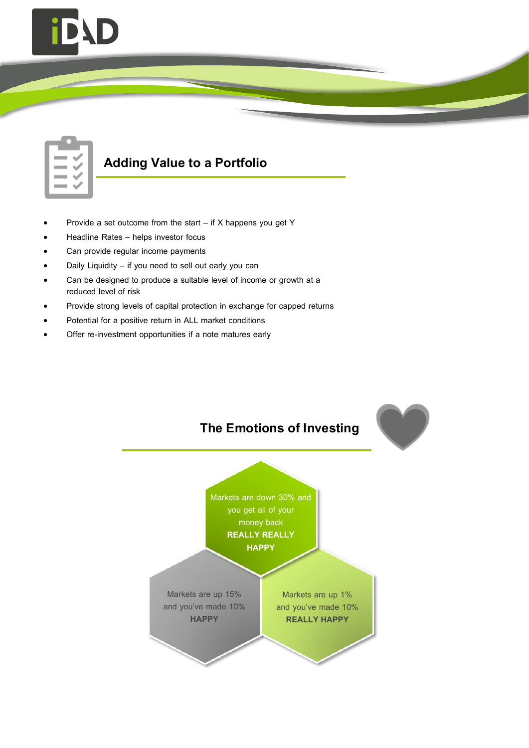



# **Adding Value to a Portfolio**

- Provide a set outcome from the start if X happens you get Y
- Headline Rates helps investor focus
- Can provide regular income payments
- Daily Liquidity if you need to sell out early you can
- Can be designed to produce a suitable level of income or growth at a reduced level of risk
- Provide strong levels of capital protection in exchange for capped returns
- Potential for a positive return in ALL market conditions
- Offer re-investment opportunities if a note matures early



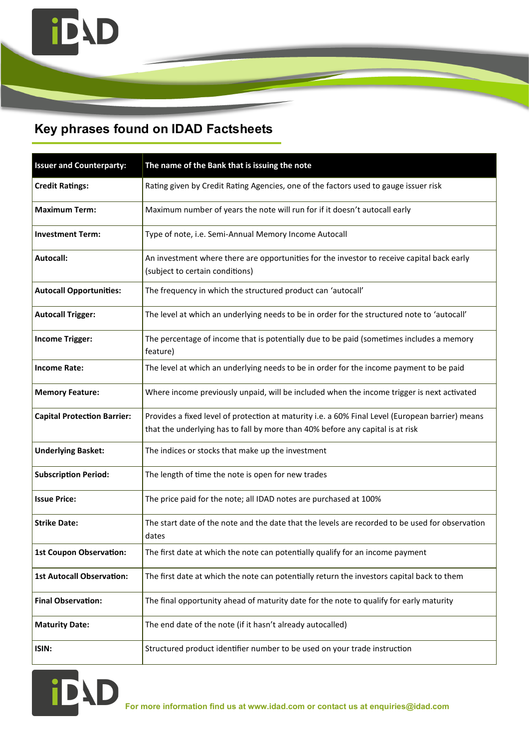

# **Key phrases found on IDAD Factsheets**

| <b>Issuer and Counterparty:</b>    | The name of the Bank that is issuing the note                                                                                                                                      |
|------------------------------------|------------------------------------------------------------------------------------------------------------------------------------------------------------------------------------|
| <b>Credit Ratings:</b>             | Rating given by Credit Rating Agencies, one of the factors used to gauge issuer risk                                                                                               |
| <b>Maximum Term:</b>               | Maximum number of years the note will run for if it doesn't autocall early                                                                                                         |
| <b>Investment Term:</b>            | Type of note, i.e. Semi-Annual Memory Income Autocall                                                                                                                              |
| <b>Autocall:</b>                   | An investment where there are opportunities for the investor to receive capital back early<br>(subject to certain conditions)                                                      |
| <b>Autocall Opportunities:</b>     | The frequency in which the structured product can 'autocall'                                                                                                                       |
| <b>Autocall Trigger:</b>           | The level at which an underlying needs to be in order for the structured note to 'autocall'                                                                                        |
| <b>Income Trigger:</b>             | The percentage of income that is potentially due to be paid (sometimes includes a memory<br>feature)                                                                               |
| <b>Income Rate:</b>                | The level at which an underlying needs to be in order for the income payment to be paid                                                                                            |
| <b>Memory Feature:</b>             | Where income previously unpaid, will be included when the income trigger is next activated                                                                                         |
| <b>Capital Protection Barrier:</b> | Provides a fixed level of protection at maturity i.e. a 60% Final Level (European barrier) means<br>that the underlying has to fall by more than 40% before any capital is at risk |
| <b>Underlying Basket:</b>          | The indices or stocks that make up the investment                                                                                                                                  |
| <b>Subscription Period:</b>        | The length of time the note is open for new trades                                                                                                                                 |
| <b>Issue Price:</b>                | The price paid for the note; all IDAD notes are purchased at 100%                                                                                                                  |
| <b>Strike Date:</b>                | The start date of the note and the date that the levels are recorded to be used for observation<br>dates                                                                           |
| <b>1st Coupon Observation:</b>     | The first date at which the note can potentially qualify for an income payment                                                                                                     |
| <b>1st Autocall Observation:</b>   | The first date at which the note can potentially return the investors capital back to them                                                                                         |
| <b>Final Observation:</b>          | The final opportunity ahead of maturity date for the note to qualify for early maturity                                                                                            |
| <b>Maturity Date:</b>              | The end date of the note (if it hasn't already autocalled)                                                                                                                         |
| ISIN:                              | Structured product identifier number to be used on your trade instruction                                                                                                          |



**For more information find us at www.idad.com or contact us at enquiries@idad.com**